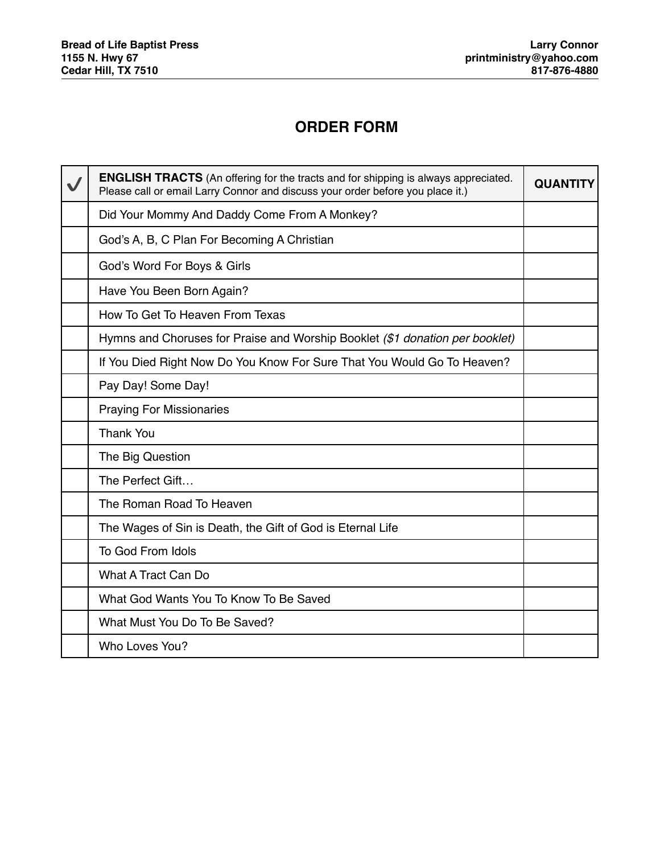## **ORDER FORM**

| <b>ENGLISH TRACTS</b> (An offering for the tracts and for shipping is always appreciated.<br>Please call or email Larry Connor and discuss your order before you place it.) | <b>QUANTITY</b> |
|-----------------------------------------------------------------------------------------------------------------------------------------------------------------------------|-----------------|
| Did Your Mommy And Daddy Come From A Monkey?                                                                                                                                |                 |
| God's A, B, C Plan For Becoming A Christian                                                                                                                                 |                 |
| God's Word For Boys & Girls                                                                                                                                                 |                 |
| Have You Been Born Again?                                                                                                                                                   |                 |
| How To Get To Heaven From Texas                                                                                                                                             |                 |
| Hymns and Choruses for Praise and Worship Booklet (\$1 donation per booklet)                                                                                                |                 |
| If You Died Right Now Do You Know For Sure That You Would Go To Heaven?                                                                                                     |                 |
| Pay Day! Some Day!                                                                                                                                                          |                 |
| <b>Praying For Missionaries</b>                                                                                                                                             |                 |
| <b>Thank You</b>                                                                                                                                                            |                 |
| The Big Question                                                                                                                                                            |                 |
| The Perfect Gift                                                                                                                                                            |                 |
| The Roman Road To Heaven                                                                                                                                                    |                 |
| The Wages of Sin is Death, the Gift of God is Eternal Life                                                                                                                  |                 |
| To God From Idols                                                                                                                                                           |                 |
| What A Tract Can Do                                                                                                                                                         |                 |
| What God Wants You To Know To Be Saved                                                                                                                                      |                 |
| What Must You Do To Be Saved?                                                                                                                                               |                 |
| Who Loves You?                                                                                                                                                              |                 |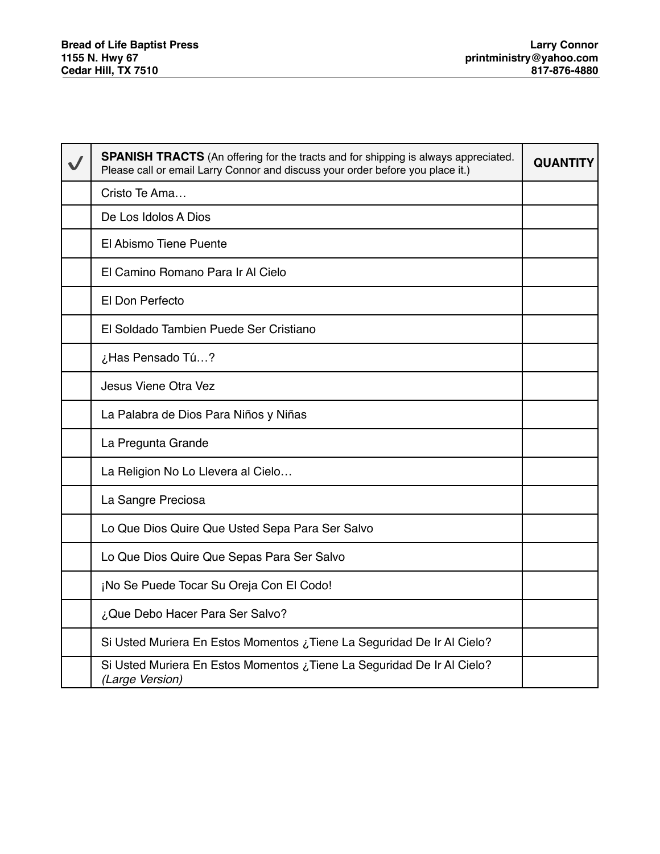| <b>SPANISH TRACTS</b> (An offering for the tracts and for shipping is always appreciated.<br>Please call or email Larry Connor and discuss your order before you place it.) | QUANTIT |
|-----------------------------------------------------------------------------------------------------------------------------------------------------------------------------|---------|
| Cristo Te Ama                                                                                                                                                               |         |
| De Los Idolos A Dios                                                                                                                                                        |         |
| El Abismo Tiene Puente                                                                                                                                                      |         |
| El Camino Romano Para Ir Al Cielo                                                                                                                                           |         |
| El Don Perfecto                                                                                                                                                             |         |
| El Soldado Tambien Puede Ser Cristiano                                                                                                                                      |         |
| ¿Has Pensado Tú?                                                                                                                                                            |         |
| Jesus Viene Otra Vez                                                                                                                                                        |         |
| La Palabra de Dios Para Niños y Niñas                                                                                                                                       |         |
| La Pregunta Grande                                                                                                                                                          |         |
| La Religion No Lo Llevera al Cielo                                                                                                                                          |         |
| La Sangre Preciosa                                                                                                                                                          |         |
| Lo Que Dios Quire Que Usted Sepa Para Ser Salvo                                                                                                                             |         |
| Lo Que Dios Quire Que Sepas Para Ser Salvo                                                                                                                                  |         |
| ¡No Se Puede Tocar Su Oreja Con El Codo!                                                                                                                                    |         |
| ¿Que Debo Hacer Para Ser Salvo?                                                                                                                                             |         |
| Si Usted Muriera En Estos Momentos ¿Tiene La Seguridad De Ir Al Cielo?                                                                                                      |         |
| Si Usted Muriera En Estos Momentos ¿Tiene La Seguridad De Ir Al Cielo?<br>(Large Version)                                                                                   |         |